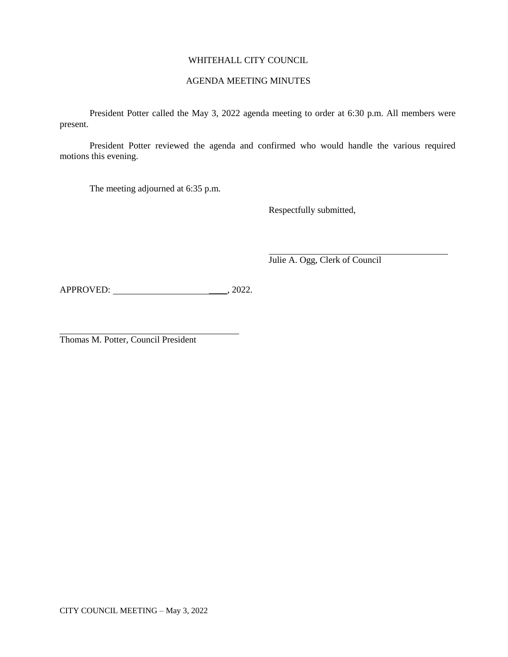# WHITEHALL CITY COUNCIL

# AGENDA MEETING MINUTES

President Potter called the May 3, 2022 agenda meeting to order at 6:30 p.m. All members were present.

President Potter reviewed the agenda and confirmed who would handle the various required motions this evening.

The meeting adjourned at 6:35 p.m.

Respectfully submitted,

Julie A. Ogg, Clerk of Council

APPROVED: \_\_\_\_, 2022.

Thomas M. Potter, Council President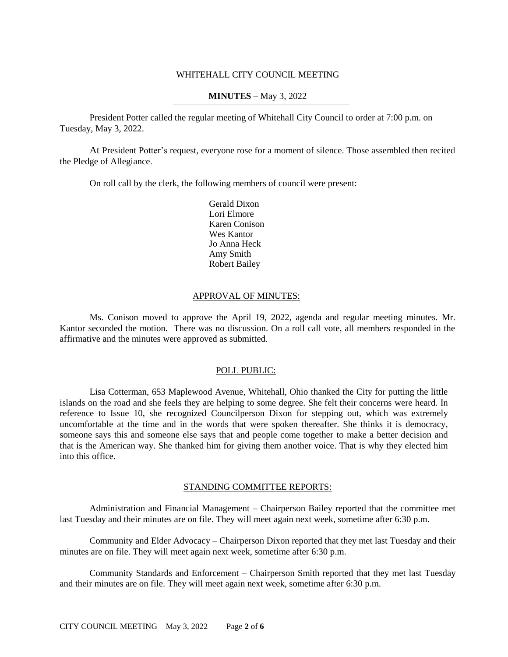## WHITEHALL CITY COUNCIL MEETING

## **MINUTES –** May 3, 2022

President Potter called the regular meeting of Whitehall City Council to order at 7:00 p.m. on Tuesday, May 3, 2022.

At President Potter's request, everyone rose for a moment of silence. Those assembled then recited the Pledge of Allegiance.

On roll call by the clerk, the following members of council were present:

Gerald Dixon Lori Elmore Karen Conison Wes Kantor Jo Anna Heck Amy Smith Robert Bailey

## APPROVAL OF MINUTES:

Ms. Conison moved to approve the April 19, 2022, agenda and regular meeting minutes. Mr. Kantor seconded the motion. There was no discussion. On a roll call vote, all members responded in the affirmative and the minutes were approved as submitted.

## POLL PUBLIC:

Lisa Cotterman, 653 Maplewood Avenue, Whitehall, Ohio thanked the City for putting the little islands on the road and she feels they are helping to some degree. She felt their concerns were heard. In reference to Issue 10, she recognized Councilperson Dixon for stepping out, which was extremely uncomfortable at the time and in the words that were spoken thereafter. She thinks it is democracy, someone says this and someone else says that and people come together to make a better decision and that is the American way. She thanked him for giving them another voice. That is why they elected him into this office.

## STANDING COMMITTEE REPORTS:

Administration and Financial Management – Chairperson Bailey reported that the committee met last Tuesday and their minutes are on file. They will meet again next week, sometime after 6:30 p.m.

Community and Elder Advocacy – Chairperson Dixon reported that they met last Tuesday and their minutes are on file. They will meet again next week, sometime after 6:30 p.m.

Community Standards and Enforcement – Chairperson Smith reported that they met last Tuesday and their minutes are on file. They will meet again next week, sometime after 6:30 p.m.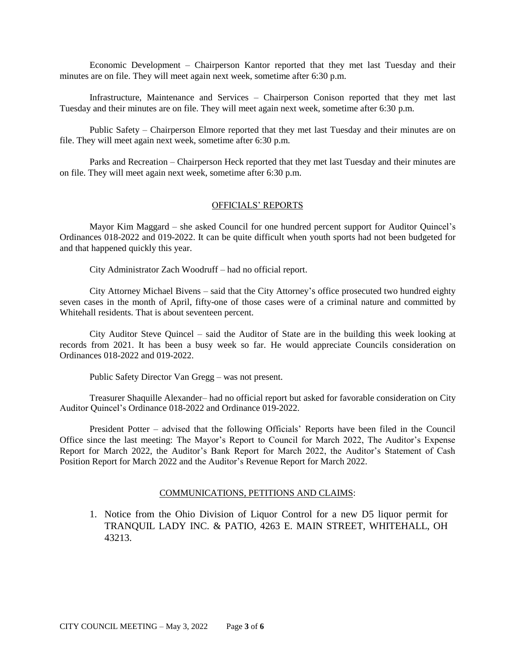Economic Development – Chairperson Kantor reported that they met last Tuesday and their minutes are on file. They will meet again next week, sometime after 6:30 p.m.

Infrastructure, Maintenance and Services – Chairperson Conison reported that they met last Tuesday and their minutes are on file. They will meet again next week, sometime after 6:30 p.m.

Public Safety – Chairperson Elmore reported that they met last Tuesday and their minutes are on file. They will meet again next week, sometime after 6:30 p.m.

Parks and Recreation – Chairperson Heck reported that they met last Tuesday and their minutes are on file. They will meet again next week, sometime after 6:30 p.m.

# OFFICIALS' REPORTS

Mayor Kim Maggard – she asked Council for one hundred percent support for Auditor Quincel's Ordinances 018-2022 and 019-2022. It can be quite difficult when youth sports had not been budgeted for and that happened quickly this year.

City Administrator Zach Woodruff – had no official report.

City Attorney Michael Bivens – said that the City Attorney's office prosecuted two hundred eighty seven cases in the month of April, fifty-one of those cases were of a criminal nature and committed by Whitehall residents. That is about seventeen percent.

City Auditor Steve Quincel – said the Auditor of State are in the building this week looking at records from 2021. It has been a busy week so far. He would appreciate Councils consideration on Ordinances 018-2022 and 019-2022.

Public Safety Director Van Gregg – was not present.

Treasurer Shaquille Alexander– had no official report but asked for favorable consideration on City Auditor Quincel's Ordinance 018-2022 and Ordinance 019-2022.

President Potter – advised that the following Officials' Reports have been filed in the Council Office since the last meeting: The Mayor's Report to Council for March 2022, The Auditor's Expense Report for March 2022, the Auditor's Bank Report for March 2022, the Auditor's Statement of Cash Position Report for March 2022 and the Auditor's Revenue Report for March 2022.

### COMMUNICATIONS, PETITIONS AND CLAIMS:

1. Notice from the Ohio Division of Liquor Control for a new D5 liquor permit for TRANQUIL LADY INC. & PATIO, 4263 E. MAIN STREET, WHITEHALL, OH 43213.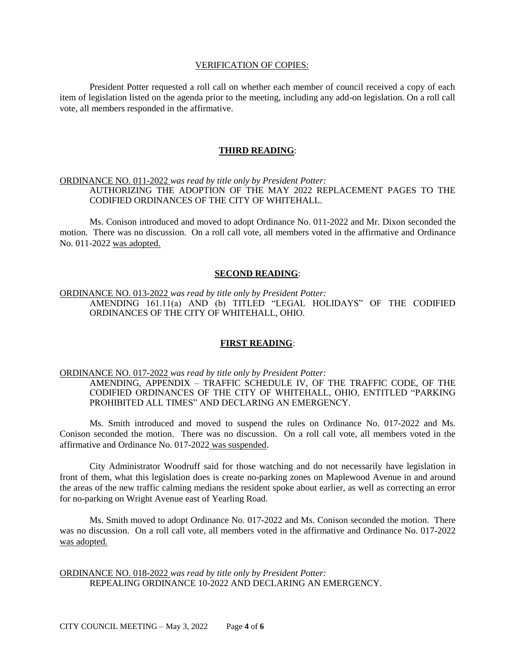#### VERIFICATION OF COPIES:

President Potter requested a roll call on whether each member of council received a copy of each item of legislation listed on the agenda prior to the meeting, including any add-on legislation. On a roll call vote, all members responded in the affirmative.

### **THIRD READING**:

# ORDINANCE NO. 011-2022 *was read by title only by President Potter:* AUTHORIZING THE ADOPTION OF THE MAY 2022 REPLACEMENT PAGES TO THE CODIFIED ORDINANCES OF THE CITY OF WHITEHALL.

Ms. Conison introduced and moved to adopt Ordinance No. 011-2022 and Mr. Dixon seconded the motion. There was no discussion. On a roll call vote, all members voted in the affirmative and Ordinance No. 011-2022 was adopted.

#### **SECOND READING**:

# ORDINANCE NO. 013-2022 *was read by title only by President Potter:* AMENDING 161.11(a) AND (b) TITLED "LEGAL HOLIDAYS" OF THE CODIFIED ORDINANCES OF THE CITY OF WHITEHALL, OHIO.

## **FIRST READING**:

#### ORDINANCE NO. 017-2022 *was read by title only by President Potter:*

AMENDING, APPENDIX – TRAFFIC SCHEDULE IV, OF THE TRAFFIC CODE, OF THE CODIFIED ORDINANCES OF THE CITY OF WHITEHALL, OHIO, ENTITLED "PARKING PROHIBITED ALL TIMES" AND DECLARING AN EMERGENCY.

Ms. Smith introduced and moved to suspend the rules on Ordinance No. 017-2022 and Ms. Conison seconded the motion. There was no discussion. On a roll call vote, all members voted in the affirmative and Ordinance No. 017-2022 was suspended.

City Administrator Woodruff said for those watching and do not necessarily have legislation in front of them, what this legislation does is create no-parking zones on Maplewood Avenue in and around the areas of the new traffic calming medians the resident spoke about earlier, as well as correcting an error for no-parking on Wright Avenue east of Yearling Road.

Ms. Smith moved to adopt Ordinance No. 017-2022 and Ms. Conison seconded the motion. There was no discussion. On a roll call vote, all members voted in the affirmative and Ordinance No. 017-2022 was adopted.

## ORDINANCE NO. 018-2022 *was read by title only by President Potter:* REPEALING ORDINANCE 10-2022 AND DECLARING AN EMERGENCY.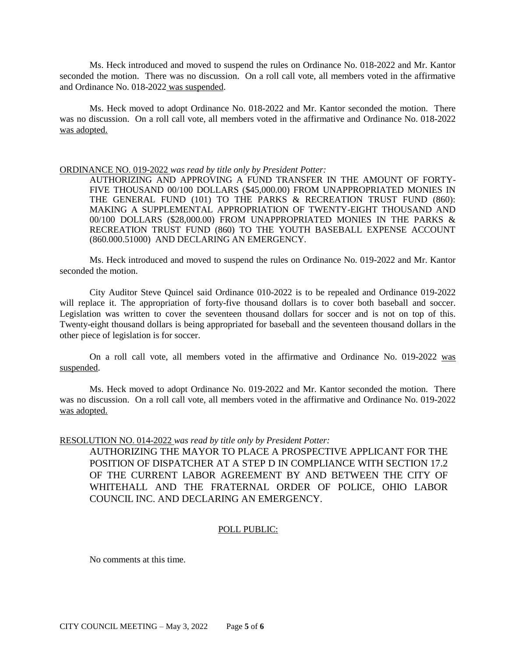Ms. Heck introduced and moved to suspend the rules on Ordinance No. 018-2022 and Mr. Kantor seconded the motion. There was no discussion. On a roll call vote, all members voted in the affirmative and Ordinance No. 018-2022 was suspended.

Ms. Heck moved to adopt Ordinance No. 018-2022 and Mr. Kantor seconded the motion. There was no discussion. On a roll call vote, all members voted in the affirmative and Ordinance No. 018-2022 was adopted.

#### ORDINANCE NO. 019-2022 *was read by title only by President Potter:*

AUTHORIZING AND APPROVING A FUND TRANSFER IN THE AMOUNT OF FORTY-FIVE THOUSAND 00/100 DOLLARS (\$45,000.00) FROM UNAPPROPRIATED MONIES IN THE GENERAL FUND (101) TO THE PARKS & RECREATION TRUST FUND (860): MAKING A SUPPLEMENTAL APPROPRIATION OF TWENTY-EIGHT THOUSAND AND 00/100 DOLLARS (\$28,000.00) FROM UNAPPROPRIATED MONIES IN THE PARKS & RECREATION TRUST FUND (860) TO THE YOUTH BASEBALL EXPENSE ACCOUNT (860.000.51000) AND DECLARING AN EMERGENCY.

Ms. Heck introduced and moved to suspend the rules on Ordinance No. 019-2022 and Mr. Kantor seconded the motion.

City Auditor Steve Quincel said Ordinance 010-2022 is to be repealed and Ordinance 019-2022 will replace it. The appropriation of forty-five thousand dollars is to cover both baseball and soccer. Legislation was written to cover the seventeen thousand dollars for soccer and is not on top of this. Twenty-eight thousand dollars is being appropriated for baseball and the seventeen thousand dollars in the other piece of legislation is for soccer.

On a roll call vote, all members voted in the affirmative and Ordinance No. 019-2022 was suspended.

Ms. Heck moved to adopt Ordinance No. 019-2022 and Mr. Kantor seconded the motion. There was no discussion. On a roll call vote, all members voted in the affirmative and Ordinance No. 019-2022 was adopted.

### RESOLUTION NO. 014-2022 *was read by title only by President Potter:*

AUTHORIZING THE MAYOR TO PLACE A PROSPECTIVE APPLICANT FOR THE POSITION OF DISPATCHER AT A STEP D IN COMPLIANCE WITH SECTION 17.2 OF THE CURRENT LABOR AGREEMENT BY AND BETWEEN THE CITY OF WHITEHALL AND THE FRATERNAL ORDER OF POLICE, OHIO LABOR COUNCIL INC. AND DECLARING AN EMERGENCY.

## POLL PUBLIC:

No comments at this time.